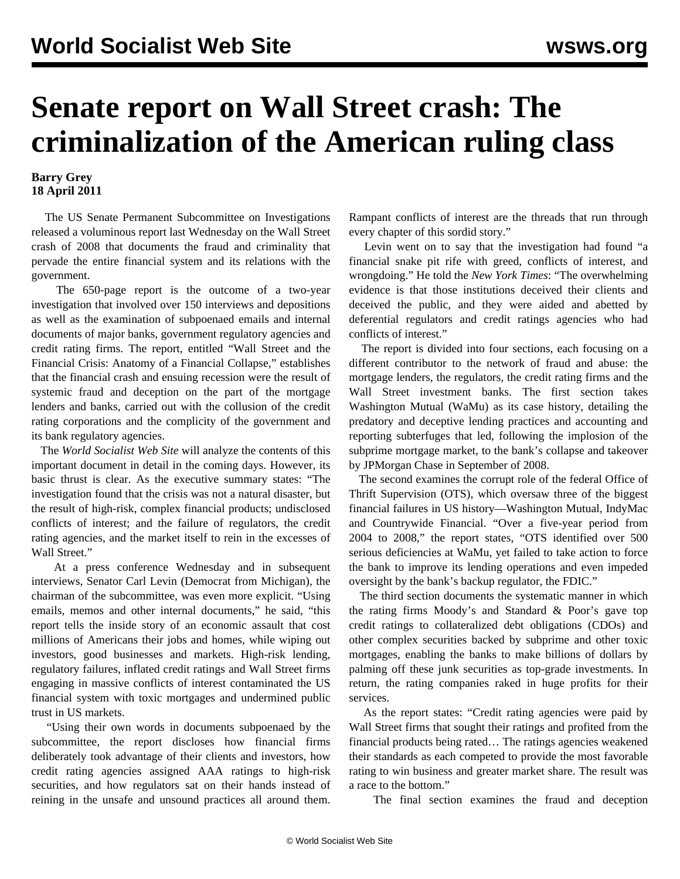## **Senate report on Wall Street crash: The criminalization of the American ruling class**

## **Barry Grey 18 April 2011**

 The US Senate Permanent Subcommittee on Investigations released a voluminous report last Wednesday on the Wall Street crash of 2008 that documents the fraud and criminality that pervade the entire financial system and its relations with the government.

 The 650-page report is the outcome of a two-year investigation that involved over 150 interviews and depositions as well as the examination of subpoenaed emails and internal documents of major banks, government regulatory agencies and credit rating firms. The report, entitled ["Wall Street and the](http://levin.senate.gov/newsroom/supporting/2011/PSI_WallStreetCrisis_041311.pdf) [Financial Crisis: Anatomy of a Financial Collapse,](http://levin.senate.gov/newsroom/supporting/2011/PSI_WallStreetCrisis_041311.pdf)" establishes that the financial crash and ensuing recession were the result of systemic fraud and deception on the part of the mortgage lenders and banks, carried out with the collusion of the credit rating corporations and the complicity of the government and its bank regulatory agencies.

 The *World Socialist Web Site* will analyze the contents of this important document in detail in the coming days. However, its basic thrust is clear. As the executive summary states: "The investigation found that the crisis was not a natural disaster, but the result of high-risk, complex financial products; undisclosed conflicts of interest; and the failure of regulators, the credit rating agencies, and the market itself to rein in the excesses of Wall Street."

 At a press conference Wednesday and in subsequent interviews, Senator Carl Levin (Democrat from Michigan), the chairman of the subcommittee, was even more explicit. "Using emails, memos and other internal documents," he said, "this report tells the inside story of an economic assault that cost millions of Americans their jobs and homes, while wiping out investors, good businesses and markets. High-risk lending, regulatory failures, inflated credit ratings and Wall Street firms engaging in massive conflicts of interest contaminated the US financial system with toxic mortgages and undermined public trust in US markets.

 "Using their own words in documents subpoenaed by the subcommittee, the report discloses how financial firms deliberately took advantage of their clients and investors, how credit rating agencies assigned AAA ratings to high-risk securities, and how regulators sat on their hands instead of reining in the unsafe and unsound practices all around them. Rampant conflicts of interest are the threads that run through every chapter of this sordid story."

 Levin went on to say that the investigation had found "a financial snake pit rife with greed, conflicts of interest, and wrongdoing." He told the *New York Times*: "The overwhelming evidence is that those institutions deceived their clients and deceived the public, and they were aided and abetted by deferential regulators and credit ratings agencies who had conflicts of interest."

 The report is divided into four sections, each focusing on a different contributor to the network of fraud and abuse: the mortgage lenders, the regulators, the credit rating firms and the Wall Street investment banks. The first section takes Washington Mutual (WaMu) as its case history, detailing the predatory and deceptive lending practices and accounting and reporting subterfuges that led, following the implosion of the subprime mortgage market, to the bank's collapse and takeover by JPMorgan Chase in September of 2008.

 The second examines the corrupt role of the federal Office of Thrift Supervision (OTS), which oversaw three of the biggest financial failures in US history—Washington Mutual, IndyMac and Countrywide Financial. "Over a five-year period from 2004 to 2008," the report states, "OTS identified over 500 serious deficiencies at WaMu, yet failed to take action to force the bank to improve its lending operations and even impeded oversight by the bank's backup regulator, the FDIC."

 The third section documents the systematic manner in which the rating firms Moody's and Standard & Poor's gave top credit ratings to collateralized debt obligations (CDOs) and other complex securities backed by subprime and other toxic mortgages, enabling the banks to make billions of dollars by palming off these junk securities as top-grade investments. In return, the rating companies raked in huge profits for their services.

 As the report states: "Credit rating agencies were paid by Wall Street firms that sought their ratings and profited from the financial products being rated… The ratings agencies weakened their standards as each competed to provide the most favorable rating to win business and greater market share. The result was a race to the bottom."

The final section examines the fraud and deception